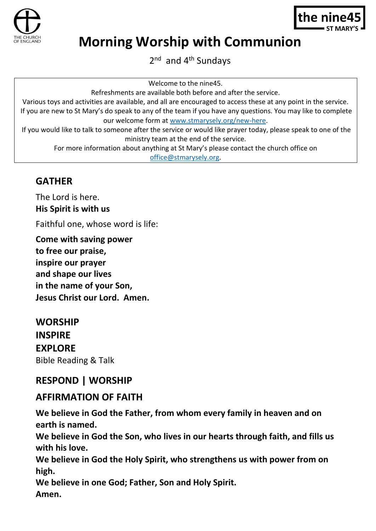



# **Morning Worship with Communion**

2<sup>nd</sup> and 4<sup>th</sup> Sundays

Welcome to the nine45.

Refreshments are available both before and after the service.

Various toys and activities are available, and all are encouraged to access these at any point in the service. If you are new to St Mary's do speak to any of the team if you have any questions. You may like to complete our welcome form at [www.stmarysely.org/new-here.](http://www.stmarysely.org/new-here)

If you would like to talk to someone after the service or would like prayer today, please speak to one of the ministry team at the end of the service.

For more information about anything at St Mary's please contact the church office on

[office@stmarysely.org.](mailto:office@stmarysely.org)

## **GATHER**

The Lord is here. **His Spirit is with us**

Faithful one, whose word is life:

**Come with saving power to free our praise, inspire our prayer and shape our lives in the name of your Son, Jesus Christ our Lord. Amen.**

## **WORSHIP INSPIRE EXPLORE** Bible Reading & Talk

# **RESPOND | WORSHIP**

## **AFFIRMATION OF FAITH**

**We believe in God the Father, from whom every family in heaven and on earth is named.** 

**We believe in God the Son, who lives in our hearts through faith, and fills us with his love.** 

**We believe in God the Holy Spirit, who strengthens us with power from on high.** 

**We believe in one God; Father, Son and Holy Spirit. Amen.**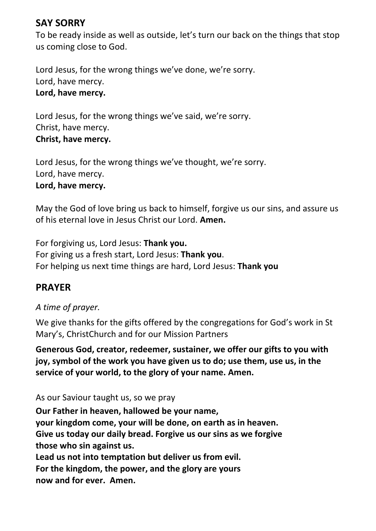## **SAY SORRY**

To be ready inside as well as outside, let's turn our back on the things that stop us coming close to God.

Lord Jesus, for the wrong things we've done, we're sorry. Lord, have mercy. **Lord, have mercy.** 

Lord Jesus, for the wrong things we've said, we're sorry. Christ, have mercy. **Christ, have mercy.**

Lord Jesus, for the wrong things we've thought, we're sorry. Lord, have mercy. **Lord, have mercy.**

May the God of love bring us back to himself, forgive us our sins, and assure us of his eternal love in Jesus Christ our Lord. **Amen.**

For forgiving us, Lord Jesus: **Thank you.**  For giving us a fresh start, Lord Jesus: **Thank you**. For helping us next time things are hard, Lord Jesus: **Thank you**

## **PRAYER**

*A time of prayer.*

We give thanks for the gifts offered by the congregations for God's work in St Mary's, ChristChurch and for our Mission Partners

**Generous God, creator, redeemer, sustainer, we offer our gifts to you with joy, symbol of the work you have given us to do; use them, use us, in the service of your world, to the glory of your name. Amen.**

As our Saviour taught us, so we pray

**Our Father in heaven, hallowed be your name, your kingdom come, your will be done, on earth as in heaven. Give us today our daily bread. Forgive us our sins as we forgive those who sin against us. Lead us not into temptation but deliver us from evil. For the kingdom, the power, and the glory are yours now and for ever. Amen.**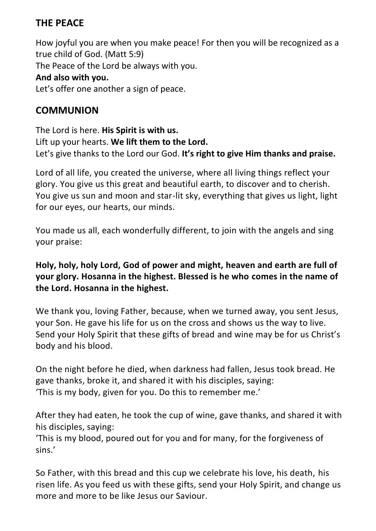## **THE PEACE**

How joyful you are when you make peace! For then you will be recognized as a true child of God. (Matt 5:9) The Peace of the Lord be always with you. **And also with you.** Let's offer one another a sign of peace.

## **COMMUNION**

The Lord is here. **His Spirit is with us.** Lift up your hearts. **We lift them to the Lord.** Let's give thanks to the Lord our God. **It's right to give Him thanks and praise.**

Lord of all life, you created the universe, where all living things reflect your glory. You give us this great and beautiful earth, to discover and to cherish. You give us sun and moon and star-lit sky, everything that gives us light, light for our eyes, our hearts, our minds.

You made us all, each wonderfully different, to join with the angels and sing your praise:

**Holy, holy, holy Lord, God of power and might, heaven and earth are full of your glory. Hosanna in the highest. Blessed is he who comes in the name of the Lord. Hosanna in the highest.**

We thank you, loving Father, because, when we turned away, you sent Jesus, your Son. He gave his life for us on the cross and shows us the way to live. Send your Holy Spirit that these gifts of bread and wine may be for us Christ's body and his blood.

On the night before he died, when darkness had fallen, Jesus took bread. He gave thanks, broke it, and shared it with his disciples, saying: 'This is my body, given for you. Do this to remember me.'

After they had eaten, he took the cup of wine, gave thanks, and shared it with his disciples, saying:

'This is my blood, poured out for you and for many, for the forgiveness of sins.'

So Father, with this bread and this cup we celebrate his love, his death, his risen life. As you feed us with these gifts, send your Holy Spirit, and change us more and more to be like Jesus our Saviour.